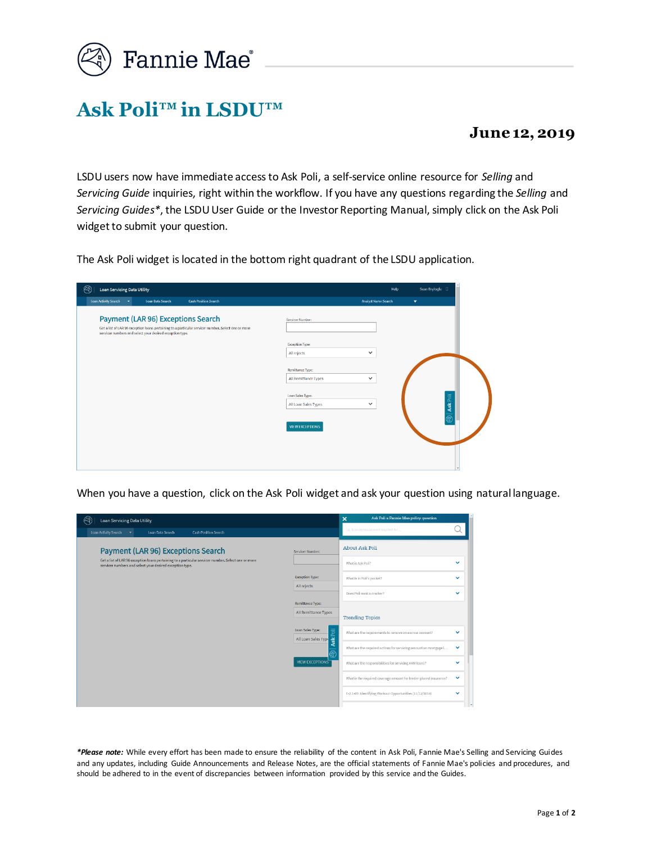

## **Ask Poli™ in LSDU™**

## **June 12, 2019**

LSDUusers now have immediate access to Ask Poli, a self-service online resource for *Selling* and *Servicing Guide* inquiries, right within the workflow. If you have any questions regarding the *Selling* and *Servicing Guides\**, the LSDU User Guide or the Investor Reporting Manual, simply click on the Ask Poli widget to submit your question.

The Ask Poli widget is located in the bottom right quadrant of the LSDU application.

| <b>Loan Servicing Data Utility</b>                                                                                                                                                                           | Sean Bryfogle <sup>[1]</sup><br>Help                      |
|--------------------------------------------------------------------------------------------------------------------------------------------------------------------------------------------------------------|-----------------------------------------------------------|
| Loan Activity Search<br><b>Cash Position Search</b><br>Loan Data Search<br>$\sim$                                                                                                                            | <b>Analyst Name Search</b><br>$\overline{\mathbf{v}}$     |
| <b>Payment (LAR 96) Exceptions Search</b><br>Get a list of LAR 96 exception loans pertaining to a particular servicer number. Select one or more<br>servicer numbers and select your desired exception type. | Servicer Number:                                          |
|                                                                                                                                                                                                              | <b>Exception Type:</b>                                    |
|                                                                                                                                                                                                              | All rejects<br>$\checkmark$                               |
|                                                                                                                                                                                                              | Remittance Type:                                          |
|                                                                                                                                                                                                              | All Remittance Types<br>$\checkmark$                      |
|                                                                                                                                                                                                              | Loan Sales Type:                                          |
|                                                                                                                                                                                                              | <b>③ Ask Poli</b><br>All Loan Sales Types<br>$\checkmark$ |
|                                                                                                                                                                                                              | <b>VIEW EXCEPTIONS</b>                                    |
|                                                                                                                                                                                                              |                                                           |
|                                                                                                                                                                                                              |                                                           |
|                                                                                                                                                                                                              |                                                           |
|                                                                                                                                                                                                              |                                                           |

When you have a question, click on the Ask Poli widget and ask your question using natural language.

| $\varnothing$<br>Loan Servicing Data Utility                                                                                                                                                                 | Ask Poli a Fannie Mae policy question<br>$\boldsymbol{\mathsf{x}}$                                                                                                                                                                                                                                                                                                                                                                                                                                                                                                                                                                   |                                                                                                                              |  |
|--------------------------------------------------------------------------------------------------------------------------------------------------------------------------------------------------------------|--------------------------------------------------------------------------------------------------------------------------------------------------------------------------------------------------------------------------------------------------------------------------------------------------------------------------------------------------------------------------------------------------------------------------------------------------------------------------------------------------------------------------------------------------------------------------------------------------------------------------------------|------------------------------------------------------------------------------------------------------------------------------|--|
| Loan Activity Search<br><b>Cash Position Search</b><br>Loan Data Search<br>$\blacktriangledown$                                                                                                              | i.e. is an escrow account required for                                                                                                                                                                                                                                                                                                                                                                                                                                                                                                                                                                                               |                                                                                                                              |  |
| <b>Payment (LAR 96) Exceptions Search</b><br>Get a list of LAR 96 exception loans pertaining to a particular servicer number. Select one or more<br>servicer numbers and select your desired exception type. | About Ask Poli<br>Servicer Number:<br>What is Ask Poli?<br>Exception Type:<br>What is in Poli's pocket?<br>All rejects<br>Does Poli want a cracker?<br>Remittance Type:<br>All Remittance Types<br><b>Trending Topics</b><br>Ask Poli<br>Loan Sales Type:<br>What are the requirements to remove an escrow account?<br>All Loan Sales Type<br>What are the required actions for servicing renovation mortgage [<br><b>VIEW EXCEPTIONS</b><br>What are the responsibilities for servicing ARM loans?<br>What is the required coverage amount for lender-placed insurance?<br>E-2.1-09: Identifying Workout Opportunities (11/12/2014) | $\checkmark$<br>$\checkmark$<br>$\checkmark$<br>$\checkmark$<br>$\checkmark$<br>$\checkmark$<br>$\checkmark$<br>$\checkmark$ |  |
|                                                                                                                                                                                                              |                                                                                                                                                                                                                                                                                                                                                                                                                                                                                                                                                                                                                                      |                                                                                                                              |  |

*\*Please note:* While every effort has been made to ensure the reliability of the content in Ask Poli, Fannie Mae's Selling and Servicing Guides and any updates, including Guide Announcements and Release Notes, are the official statements of Fannie Mae's policies and procedures, and should be adhered to in the event of discrepancies between information provided by this service and the Guides.